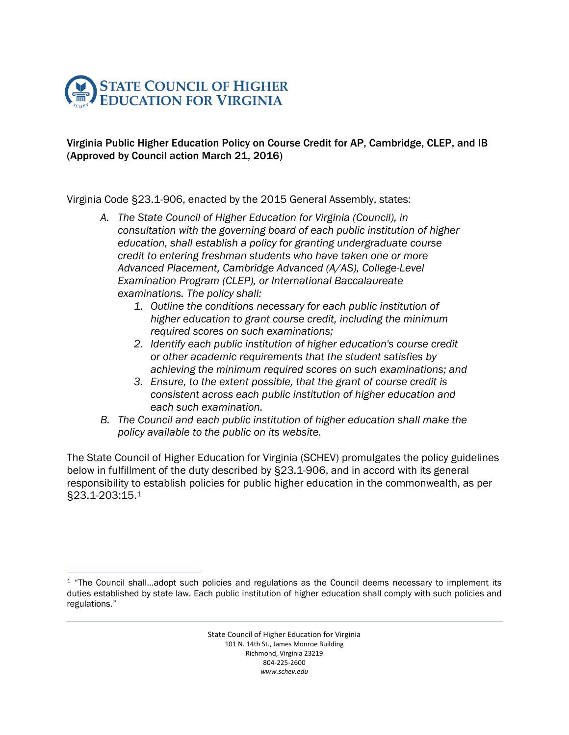

 $\overline{a}$ 

## Virginia Public Higher Education Policy on Course Credit for AP, Cambridge, CLEP, and IB (Approved by Council action March 21, 2016)

Virginia Code §23.1-906, enacted by the 2015 General Assembly, states:

- *A. The State Council of Higher Education for Virginia (Council), in consultation with the governing board of each public institution of higher education, shall establish a policy for granting undergraduate course credit to entering freshman students who have taken one or more Advanced Placement, Cambridge Advanced (A/AS), College-Level Examination Program (CLEP), or International Baccalaureate examinations. The policy shall:*
	- *1. Outline the conditions necessary for each public institution of higher education to grant course credit, including the minimum required scores on such examinations;*
	- *2. Identify each public institution of higher education's course credit or other academic requirements that the student satisfies by achieving the minimum required scores on such examinations; and*
	- *3. Ensure, to the extent possible, that the grant of course credit is consistent across each public institution of higher education and each such examination.*
- *B. The Council and each public institution of higher education shall make the policy available to the public on its website.*

The State Council of Higher Education for Virginia (SCHEV) promulgates the policy guidelines below in fulfillment of the duty described by §23.1-906, and in accord with its general responsibility to establish policies for public higher education in the commonwealth, as per §23.1-203:15. 1

<sup>&</sup>lt;sup>1</sup> "The Council shall...adopt such policies and regulations as the Council deems necessary to implement its duties established by state law. Each public institution of higher education shall comply with such policies and regulations."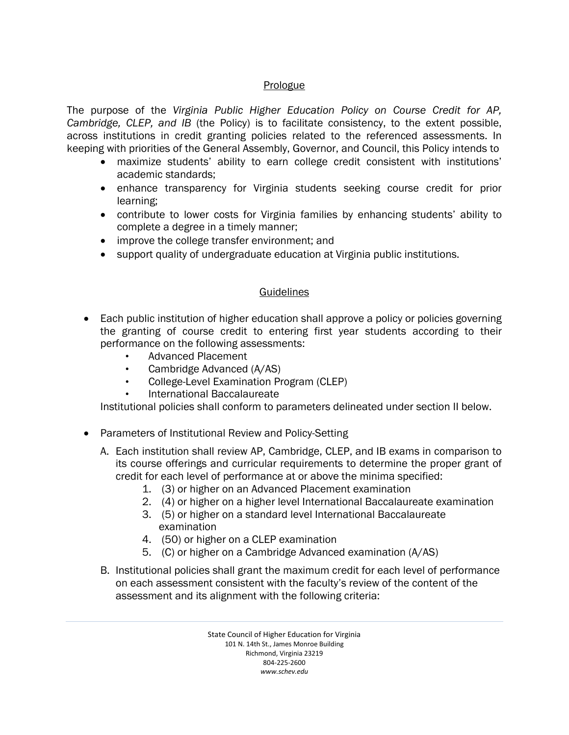## **Prologue**

The purpose of the *Virginia Public Higher Education Policy on Course Credit for AP, Cambridge, CLEP, and IB* (the Policy) is to facilitate consistency, to the extent possible, across institutions in credit granting policies related to the referenced assessments. In keeping with priorities of the General Assembly, Governor, and Council, this Policy intends to

- maximize students' ability to earn college credit consistent with institutions' academic standards;
- enhance transparency for Virginia students seeking course credit for prior learning;
- contribute to lower costs for Virginia families by enhancing students' ability to complete a degree in a timely manner;
- improve the college transfer environment; and
- support quality of undergraduate education at Virginia public institutions.

## **Guidelines**

- Each public institution of higher education shall approve a policy or policies governing the granting of course credit to entering first year students according to their performance on the following assessments:
	- Advanced Placement
	- Cambridge Advanced (A/AS)
	- College-Level Examination Program (CLEP)
	- International Baccalaureate

Institutional policies shall conform to parameters delineated under section II below.

- Parameters of Institutional Review and Policy-Setting
	- A. Each institution shall review AP, Cambridge, CLEP, and IB exams in comparison to its course offerings and curricular requirements to determine the proper grant of credit for each level of performance at or above the minima specified:
		- 1. (3) or higher on an Advanced Placement examination
		- 2. (4) or higher on a higher level International Baccalaureate examination
		- 3. (5) or higher on a standard level International Baccalaureate examination
		- 4. (50) or higher on a CLEP examination
		- 5. (C) or higher on a Cambridge Advanced examination (A/AS)
	- B. Institutional policies shall grant the maximum credit for each level of performance on each assessment consistent with the faculty's review of the content of the assessment and its alignment with the following criteria:

State Council of Higher Education for Virginia 101 N. 14th St., James Monroe Building Richmond, Virginia 23219 804-225-2600 *www.schev.edu*